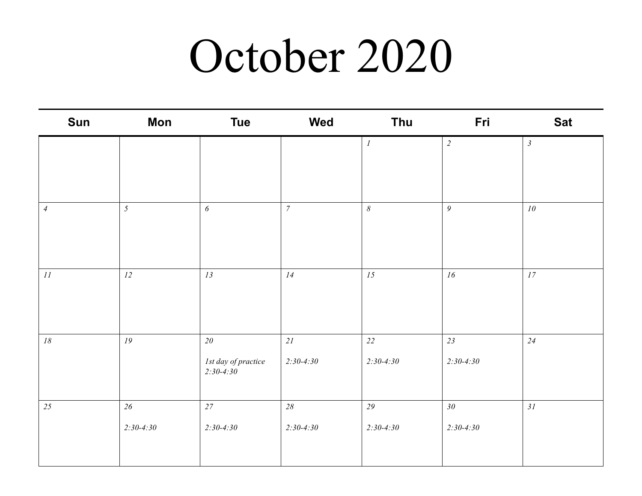## October 2020

| Sun            | <b>Mon</b>      | <b>Tue</b>                           | Wed              | Thu                   | Fri              | <b>Sat</b>      |
|----------------|-----------------|--------------------------------------|------------------|-----------------------|------------------|-----------------|
|                |                 |                                      |                  | $\cal I$              | $\overline{c}$   | $\mathfrak{Z}$  |
|                |                 |                                      |                  |                       |                  |                 |
|                |                 |                                      |                  |                       |                  |                 |
| $\overline{4}$ | $5\overline{)}$ | $\boldsymbol{\delta}$                | $\boldsymbol{7}$ | $\boldsymbol{\delta}$ | $\boldsymbol{g}$ | 10 <sup>°</sup> |
|                |                 |                                      |                  |                       |                  |                 |
|                |                 |                                      |                  |                       |                  |                 |
| II             | 12              | 13                                   | 14               | 15                    | 16               | 17              |
|                |                 |                                      |                  |                       |                  |                 |
|                |                 |                                      |                  |                       |                  |                 |
| $18\,$         | 19              | $2\theta$                            | 21               | 22                    | 23               | 24              |
|                |                 | Ist day of practice<br>$2:30 - 4:30$ | $2:30 - 4:30$    | $2:30 - 4:30$         | $2:30 - 4:30$    |                 |
|                |                 |                                      |                  |                       |                  |                 |
| 25             | $26\,$          | $27\,$                               | $28\,$           | 29                    | $30\,$           | 31              |
|                | $2:30 - 4:30$   | $2:30 - 4:30$                        | $2:30-4:30$      | $2:30 - 4:30$         | $2:30 - 4:30$    |                 |
|                |                 |                                      |                  |                       |                  |                 |
|                |                 |                                      |                  |                       |                  |                 |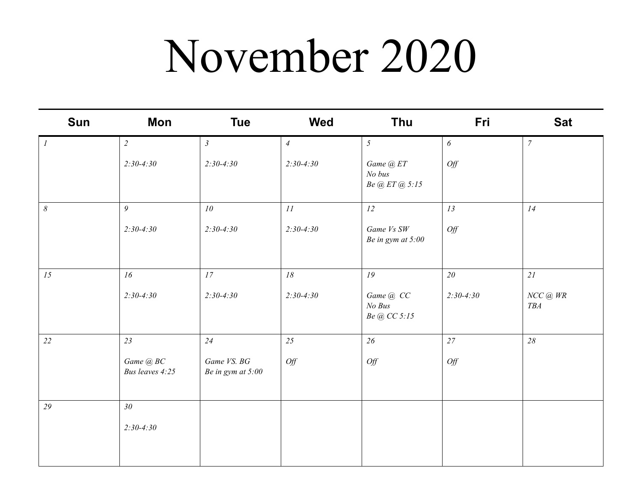## November 2020

| <b>Sun</b>            | Mon                          | <b>Tue</b>                         | <b>Wed</b>     | <b>Thu</b>                                | Fri         | <b>Sat</b>                 |
|-----------------------|------------------------------|------------------------------------|----------------|-------------------------------------------|-------------|----------------------------|
| $\mathcal{I}$         | $\overline{2}$               | $\mathfrak{Z}$                     | $\overline{4}$ | $\mathfrak{H}$                            | 6           | $\overline{7}$             |
|                       | $2:30-4:30$                  | $2:30-4:30$                        | $2:30-4:30$    | Game @ ET<br>No bus<br>Be $@$ ET $@$ 5:15 | Off         |                            |
| $\boldsymbol{\delta}$ | 9                            | 10                                 | II             | 12                                        | 13          | 14                         |
|                       | $2:30-4:30$                  | $2:30-4:30$                        | $2:30-4:30$    | Game Vs SW<br>Be in gym at 5:00           | Off         |                            |
| 15                    | 16                           | 17                                 | 18             | 19                                        | 20          | 21                         |
|                       | $2:30-4:30$                  | $2:30-4:30$                        | $2:30-4:30$    | Game @ CC<br>No Bus<br>Be @ CC 5:15       | $2:30-4:30$ | $NCC$ @ $WR$<br><b>TBA</b> |
| 22                    | 23                           | 24                                 | 25             | 26                                        | 27          | 28                         |
|                       | Game @ BC<br>Bus leaves 4:25 | Game VS. BG<br>Be in gym at $5:00$ | Off            | Off                                       | Off         |                            |
| 29                    | 30 <sup>°</sup>              |                                    |                |                                           |             |                            |
|                       | $2:30-4:30$                  |                                    |                |                                           |             |                            |